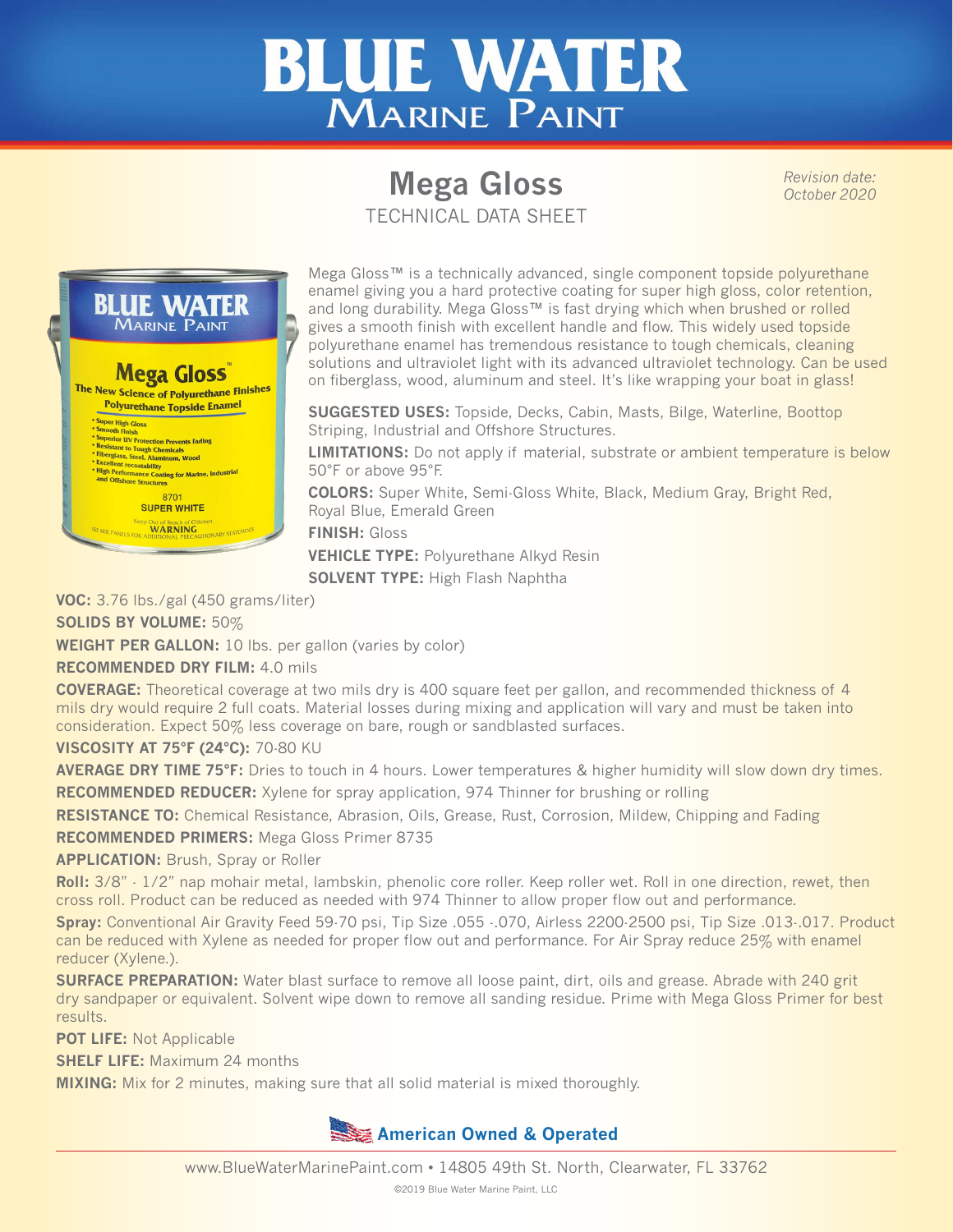

## **Mega Gloss** TECHNICAL DATA SHEET

*Revision date: October 2020*

**BLUE WATER MARINE PAINT Mega Gloss** The New Science of Polyurethane Finishes Polyurethane Topside Enamel Super High Gloss<br>
Super High Gloss<br>
Smooth Thish<br>
Superior IV Protection Prevents Fading<br>
Resisstant to Tough Chemicals<br>
Thergalass, Steel, Aluminum, Wood<br>
Livellent recondability<br>
High Performance Coding for Marine, Indus re Structures 8701 **SUPER WHITE** Out of Reach of Ch

Mega Gloss™ is a technically advanced, single component topside polyurethane enamel giving you a hard protective coating for super high gloss, color retention, and long durability. Mega Gloss<sup>™</sup> is fast drying which when brushed or rolled gives a smooth finish with excellent handle and flow. This widely used topside polyurethane enamel has tremendous resistance to tough chemicals, cleaning solutions and ultraviolet light with its advanced ultraviolet technology. Can be used on fiberglass, wood, aluminum and steel. It's like wrapping your boat in glass!

**SUGGESTED USES:** Topside, Decks, Cabin, Masts, Bilge, Waterline, Boottop Striping, Industrial and Offshore Structures.

**LIMITATIONS:** Do not apply if material, substrate or ambient temperature is below 50°F or above 95°F.

**COLORS:** Super White, Semi-Gloss White, Black, Medium Gray, Bright Red, Royal Blue, Emerald Green

**FINISH:** Gloss

**VEHICLE TYPE:** Polyurethane Alkyd Resin

**SOLVENT TYPE:** High Flash Naphtha

**VOC:** 3.76 lbs./gal (450 grams/liter)

**SOLIDS BY VOLUME:** 50%

**WEIGHT PER GALLON:** 10 lbs. per gallon (varies by color)

**RECOMMENDED DRY FILM:** 4.0 mils

**COVERAGE:** Theoretical coverage at two mils dry is 400 square feet per gallon, and recommended thickness of 4 mils dry would require 2 full coats. Material losses during mixing and application will vary and must be taken into consideration. Expect 50% less coverage on bare, rough or sandblasted surfaces.

**VISCOSITY AT 75°F (24°C):** 70-80 KU

**AVERAGE DRY TIME 75°F:** Dries to touch in 4 hours. Lower temperatures & higher humidity will slow down dry times. **RECOMMENDED REDUCER:** Xylene for spray application, 974 Thinner for brushing or rolling

**RESISTANCE TO:** Chemical Resistance, Abrasion, Oils, Grease, Rust, Corrosion, Mildew, Chipping and Fading

**RECOMMENDED PRIMERS:** Mega Gloss Primer 8735

**APPLICATION:** Brush, Spray or Roller

**Roll:** 3/8" - 1/2" nap mohair metal, lambskin, phenolic core roller. Keep roller wet. Roll in one direction, rewet, then cross roll. Product can be reduced as needed with 974 Thinner to allow proper flow out and performance.

**Spray:** Conventional Air Gravity Feed 59-70 psi, Tip Size .055 -.070, Airless 2200-2500 psi, Tip Size .013-.017. Product can be reduced with Xylene as needed for proper flow out and performance. For Air Spray reduce 25% with enamel reducer (Xylene.).

**SURFACE PREPARATION:** Water blast surface to remove all loose paint, dirt, oils and grease. Abrade with 240 grit dry sandpaper or equivalent. Solvent wipe down to remove all sanding residue. Prime with Mega Gloss Primer for best results.

**POT LIFE:** Not Applicable

**SHELF LIFE:** Maximum 24 months

**MIXING:** Mix for 2 minutes, making sure that all solid material is mixed thoroughly.